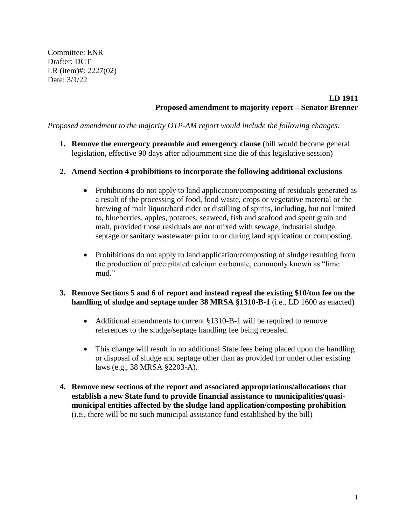Committee: ENR Drafter: DCT LR (item)#: 2227(02) Date: 3/1/22

### **LD 1911 Proposed amendment to majority report – Senator Brenner**

*Proposed amendment to the majority OTP-AM report would include the following changes:*

**1. Remove the emergency preamble and emergency clause** (bill would become general legislation, effective 90 days after adjournment sine die of this legislative session)

#### **2. Amend Section 4 prohibitions to incorporate the following additional exclusions**

- Prohibitions do not apply to land application/composting of residuals generated as a result of the processing of food, food waste, crops or vegetative material or the brewing of malt liquor/hard cider or distilling of spirits, including, but not limited to, blueberries, apples, potatoes, seaweed, fish and seafood and spent grain and malt, provided those residuals are not mixed with sewage, industrial sludge, septage or sanitary wastewater prior to or during land application or composting.
- Prohibitions do not apply to land application/composting of sludge resulting from the production of precipitated calcium carbonate, commonly known as "lime mud."

### **3. Remove Sections 5 and 6 of report and instead repeal the existing \$10/ton fee on the handling of sludge and septage under 38 MRSA §1310-B-1** (i.e., LD 1600 as enacted)

- Additional amendments to current §1310-B-1 will be required to remove references to the sludge/septage handling fee being repealed.
- This change will result in no additional State fees being placed upon the handling or disposal of sludge and septage other than as provided for under other existing laws (e.g., 38 MRSA §2203-A).
- **4. Remove new sections of the report and associated appropriations/allocations that establish a new State fund to provide financial assistance to municipalities/quasimunicipal entities affected by the sludge land application/composting prohibition** (i.e., there will be no such municipal assistance fund established by the bill)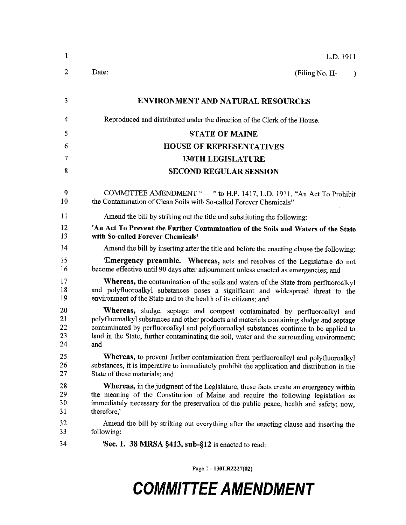| $\mathbf{1}$               | L.D. 1911                                                                                                                                                                                                                                                                                                                                                                  |
|----------------------------|----------------------------------------------------------------------------------------------------------------------------------------------------------------------------------------------------------------------------------------------------------------------------------------------------------------------------------------------------------------------------|
| $\overline{2}$             | Date:<br>(Filing No. H-<br>$\mathcal{Y}$                                                                                                                                                                                                                                                                                                                                   |
| 3                          | <b>ENVIRONMENT AND NATURAL RESOURCES</b>                                                                                                                                                                                                                                                                                                                                   |
| 4                          | Reproduced and distributed under the direction of the Clerk of the House.                                                                                                                                                                                                                                                                                                  |
| 5                          | <b>STATE OF MAINE</b>                                                                                                                                                                                                                                                                                                                                                      |
| 6                          | <b>HOUSE OF REPRESENTATIVES</b>                                                                                                                                                                                                                                                                                                                                            |
| 7                          | <b>130TH LEGISLATURE</b>                                                                                                                                                                                                                                                                                                                                                   |
| 8                          | <b>SECOND REGULAR SESSION</b>                                                                                                                                                                                                                                                                                                                                              |
| 9<br>10                    | COMMITTEE AMENDMENT " " to H.P. 1417, L.D. 1911, "An Act To Prohibit<br>the Contamination of Clean Soils with So-called Forever Chemicals"                                                                                                                                                                                                                                 |
| 11                         | Amend the bill by striking out the title and substituting the following:                                                                                                                                                                                                                                                                                                   |
| 12<br>13                   | 'An Act To Prevent the Further Contamination of the Soils and Waters of the State<br>with So-called Forever Chemicals'                                                                                                                                                                                                                                                     |
| 14                         | Amend the bill by inserting after the title and before the enacting clause the following:                                                                                                                                                                                                                                                                                  |
| 15<br>16                   | 'Emergency preamble. Whereas, acts and resolves of the Legislature do not<br>become effective until 90 days after adjournment unless enacted as emergencies; and                                                                                                                                                                                                           |
| 17<br>18<br>19             | Whereas, the contamination of the soils and waters of the State from perfluoroalkyl<br>and polyfluoroalkyl substances poses a significant and widespread threat to the<br>environment of the State and to the health of its citizens; and                                                                                                                                  |
| 20<br>21<br>22<br>23<br>24 | <b>Whereas,</b> sludge, septage and compost contaminated by perfluoroalkyl and<br>polyfluoroalkyl substances and other products and materials containing sludge and septage<br>contaminated by perfluoroalkyl and polyfluoroalkyl substances continue to be applied to<br>land in the State, further contaminating the soil, water and the surrounding environment;<br>and |
| 25<br>26<br>27             | Whereas, to prevent further contamination from perfluoroalkyl and polyfluoroalkyl<br>substances, it is imperative to immediately prohibit the application and distribution in the<br>State of these materials; and                                                                                                                                                         |
| 28<br>29<br>30<br>31       | Whereas, in the judgment of the Legislature, these facts create an emergency within<br>the meaning of the Constitution of Maine and require the following legislation as<br>immediately necessary for the preservation of the public peace, health and safety; now,<br>therefore,                                                                                          |
| 32<br>33                   | Amend the bill by striking out everything after the enacting clause and inserting the<br>following:                                                                                                                                                                                                                                                                        |
| 34                         | 'Sec. 1. 38 MRSA §413, sub-§12 is enacted to read:                                                                                                                                                                                                                                                                                                                         |

Page 1 - 130LR2227(02)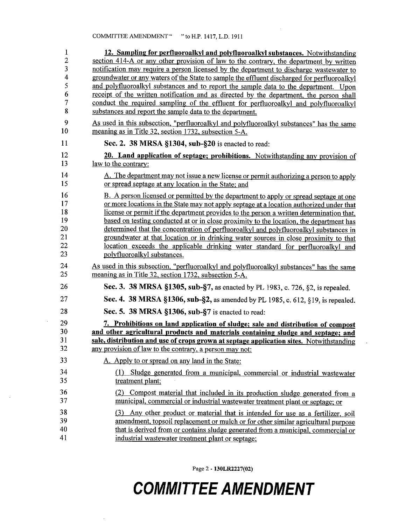| $\mathbf{1}$<br>$\overline{c}$ | 12. Sampling for perfluoroalkyl and polyfluoroalkyl substances. Notwithstanding<br>section 414-A or any other provision of law to the contrary, the department by written        |
|--------------------------------|----------------------------------------------------------------------------------------------------------------------------------------------------------------------------------|
| 3                              | notification may require a person licensed by the department to discharge wastewater to                                                                                          |
| $\overline{\mathbf{r}}$        | groundwater or any waters of the State to sample the effluent discharged for perfluoroalkyl                                                                                      |
| 5                              | and polyfluoroalkyl substances and to report the sample data to the department. Upon                                                                                             |
| 6                              | receipt of the written notification and as directed by the department, the person shall                                                                                          |
| 7                              | conduct the required sampling of the effluent for perfluoroalkyl and polyfluoroalkyl                                                                                             |
| 8                              | substances and report the sample data to the department.                                                                                                                         |
| 9<br>10                        | As used in this subsection, "perfluoroalkyl and polyfluoroalkyl substances" has the same<br>meaning as in Title 32, section 1732, subsection 5-A.                                |
| 11                             | Sec. 2. 38 MRSA §1304, sub-§20 is enacted to read:                                                                                                                               |
| 12<br>13                       | 20. Land application of septage; prohibitions. Notwithstanding any provision of<br><u>law to the contrary:</u>                                                                   |
| 14<br>15                       | A. The department may not issue a new license or permit authorizing a person to apply<br>or spread septage at any location in the State; and                                     |
| 16                             | B. A person licensed or permitted by the department to apply or spread septage at one                                                                                            |
| 17                             | or more locations in the State may not apply septage at a location authorized under that                                                                                         |
| 18                             | license or permit if the department provides to the person a written determination that,                                                                                         |
| 19<br>20                       | based on testing conducted at or in close proximity to the location, the department has<br>determined that the concentration of perfluoroalkyl and polyfluoroalkyl substances in |
| 21                             | groundwater at that location or in drinking water sources in close proximity to that                                                                                             |
| 22                             | location exceeds the applicable drinking water standard for perfluoroalkyl and                                                                                                   |
| 23                             | polyfluoroalkyl substances.                                                                                                                                                      |
| 24<br>25                       | As used in this subsection, "perfluoroalkyl and polyfluoroalkyl substances" has the same<br>meaning as in Title 32, section 1732, subsection 5-A.                                |
| 26                             | Sec. 3. 38 MRSA §1305, sub-§7, as enacted by PL 1983, c. 726, §2, is repealed.                                                                                                   |
| 27                             | Sec. 4. 38 MRSA §1306, sub-§2, as amended by PL 1985, c. 612, §19, is repealed.                                                                                                  |
| 28                             | Sec. 5. 38 MRSA §1306, sub-§7 is enacted to read:                                                                                                                                |
| 29                             | 7. Prohibitions on land application of sludge; sale and distribution of compost                                                                                                  |
| 30                             | and other agricultural products and materials containing sludge and septage; and                                                                                                 |
| 31<br>32                       | sale, distribution and use of crops grown at septage application sites. Notwithstanding                                                                                          |
|                                | any provision of law to the contrary, a person may not:                                                                                                                          |
| 33                             | A. Apply to or spread on any land in the State:                                                                                                                                  |
| 34<br>35                       | (1) Sludge generated from a municipal, commercial or industrial wastewater<br>treatment plant;                                                                                   |
| 36<br>37                       | (2) Compost material that included in its production sludge generated from a<br>municipal, commercial or industrial wastewater treatment plant or septage; or                    |
| 38                             | (3) Any other product or material that is intended for use as a fertilizer, soil                                                                                                 |
| 39                             | amendment, topsoil replacement or mulch or for other similar agricultural purpose                                                                                                |
| 40                             | that is derived from or contains sludge generated from a municipal, commercial or                                                                                                |
| 41                             | industrial wastewater treatment plant or septage;                                                                                                                                |

Page 2 - 130LR2227(02)

## **COMMITTEE AMENDMENT**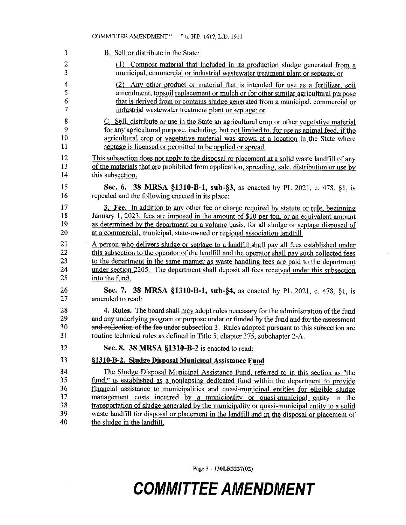|                 | <b>COMMITTEE AMENDMENT "</b><br>" to H.P. 1417, L.D. 1911                                      |
|-----------------|------------------------------------------------------------------------------------------------|
| 1               | B. Sell or distribute in the State:                                                            |
| $\overline{2}$  | (1) Compost material that included in its production sludge generated from a                   |
| 3               | municipal, commercial or industrial wastewater treatment plant or septage; or                  |
| $\overline{4}$  | (2) Any other product or material that is intended for use as a fertilizer, soil               |
| 5               | amendment, topsoil replacement or mulch or for other similar agricultural purpose              |
| 6               | that is derived from or contains sludge generated from a municipal, commercial or              |
| 7               | industrial wastewater treatment plant or septage; or                                           |
| 8               | C. Sell, distribute or use in the State an agricultural crop or other vegetative material      |
| 9               | for any agricultural purpose, including, but not limited to, for use as animal feed, if the    |
| 10              | agricultural crop or vegetative material was grown at a location in the State where            |
| $\mathbf{11}$   | septage is licensed or permitted to be applied or spread.                                      |
| 12              | This subsection does not apply to the disposal or placement at a solid waste landfill of any   |
| 13              | of the materials that are prohibited from application, spreading, sale, distribution or use by |
| 14              | this subsection.                                                                               |
| 15              | Sec. 6. 38 MRSA §1310-B-1, sub-§3, as enacted by PL 2021, c. 478, §1, is                       |
| 16              | repealed and the following enacted in its place:                                               |
| 17              | <b>3. Fee.</b> In addition to any other fee or charge required by statute or rule, beginning   |
| 18              | January 1, 2023, fees are imposed in the amount of \$10 per ton, or an equivalent amount       |
| 19              | as determined by the department on a volume basis, for all sludge or septage disposed of       |
| $_{20}$         | at a commercial, municipal, state-owned or regional association landfill.                      |
| 21              | A person who delivers sludge or septage to a landfill shall pay all fees established under     |
| 22              | this subsection to the operator of the landfill and the operator shall pay such collected fees |
| 23              | to the department in the same manner as waste handling fees are paid to the department         |
| 24              | under section 2205. The department shall deposit all fees received under this subsection       |
| 25              | into the fund.                                                                                 |
| 26              | Sec. 7. 38 MRSA §1310-B-1, sub-§4, as enacted by PL 2021, c. 478, §1, is                       |
| 27              | amended to read:                                                                               |
| 28              | 4. Rules. The board shall may adopt rules necessary for the administration of the fund         |
| 29              | and any underlying program or purpose under or funded by the fund and for the assessment       |
| 30              | and collection of the fee under subsection 3. Rules adopted pursuant to this subsection are    |
| 31              | routine technical rules as defined in Title 5, chapter 375, subchapter 2-A.                    |
| $32\,$          | Sec. 8. 38 MRSA §1310-B-2 is enacted to read:                                                  |
| $\overline{33}$ | §1310-B-2. Sludge Disposal Municipal Assistance Fund                                           |
| 34              | The Sludge Disposal Municipal Assistance Fund, referred to in this section as "the             |
| 35              | fund," is established as a nonlapsing dedicated fund within the department to provide          |
| 36              | financial assistance to municipalities and quasi-municipal entities for eligible sludge        |
| 37              | management costs incurred by a municipality or quasi-municipal entity in the                   |
| 38              | transportation of sludge generated by the municipality or quasi-municipal entity to a solid    |
| 39              | waste landfill for disposal or placement in the landfill and in the disposal or placement of   |
| 40              | the sludge in the landfill.                                                                    |

Page 3 - 130LR2227(02)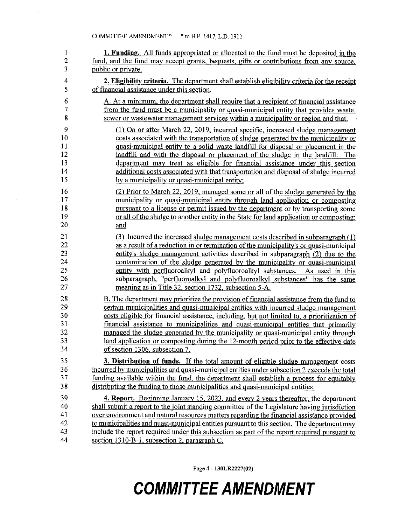$\sim$   $\sim$ 

 $\bar{z}$ 

| $\mathbf{1}$            | 1. Funding. All funds appropriated or allocated to the fund must be deposited in the           |
|-------------------------|------------------------------------------------------------------------------------------------|
| $\overline{c}$          | fund, and the fund may accept grants, bequests, gifts or contributions from any source,        |
| $\overline{\mathbf{3}}$ | public or private.                                                                             |
| 4                       | 2. Eligibility criteria. The department shall establish eligibility criteria for the receipt   |
| 5                       | of financial assistance under this section.                                                    |
| 6                       | A. At a minimum, the department shall require that a recipient of financial assistance         |
| 7                       | from the fund must be a municipality or quasi-municipal entity that provides waste,            |
| 8                       | sewer or wastewater management services within a municipality or region and that:              |
| 9                       | (1) On or after March 22, 2019, incurred specific, increased sludge management                 |
| 10                      | costs associated with the transportation of sludge generated by the municipality or            |
| 11                      | quasi-municipal entity to a solid waste landfill for disposal or placement in the              |
| 12                      | landfill and with the disposal or placement of the sludge in the landfill. The                 |
| 13                      | department may treat as eligible for financial assistance under this section                   |
| 14                      | additional costs associated with that transportation and disposal of sludge incurred           |
| 15                      | by a municipality or quasi-municipal entity;                                                   |
| 16                      | (2) Prior to March 22, 2019, managed some or all of the sludge generated by the                |
| 17                      | municipality or quasi-municipal entity through land application or composting                  |
| 18                      | pursuant to a license or permit issued by the department or by transporting some               |
| 19                      | or all of the sludge to another entity in the State for land application or composting;        |
| 20                      | and                                                                                            |
| 21                      | (3) Incurred the increased sludge management costs described in subparagraph (1)               |
| 22                      | as a result of a reduction in or termination of the municipality's or quasi-municipal          |
| 23                      | entity's sludge management activities described in subparagraph (2) due to the                 |
| 24                      | contamination of the sludge generated by the municipality or quasi-municipal                   |
| 25                      | entity with perfluoroalkyl and polyfluoroalkyl substances. As used in this                     |
| 26                      | subparagraph, "perfluoroalkyl and polyfluoroalkyl substances" has the same                     |
| 27                      | meaning as in Title 32, section 1732, subsection 5-A.                                          |
| 28                      | <b>B.</b> The department may prioritize the provision of financial assistance from the fund to |
| 29                      | certain municipalities and quasi-municipal entities with incurred sludge management            |
| 30                      | costs eligible for financial assistance, including, but not limited to, a prioritization of    |
| 31                      | financial assistance to municipalities and quasi-municipal entities that primarily             |
| 32                      | managed the sludge generated by the municipality or quasi-municipal entity through             |
| 33                      | land application or composting during the 12-month period prior to the effective date          |
| 34                      | of section 1306, subsection 7.                                                                 |
| 35                      | 3. Distribution of funds. If the total amount of eligible sludge management costs              |
| 36                      | incurred by municipalities and quasi-municipal entities under subsection 2 exceeds the total   |
| 37                      | funding available within the fund, the department shall establish a process for equitably      |
| 38                      | distributing the funding to those municipalities and quasi-municipal entities.                 |
| 39                      | 4. Report. Beginning January 15, 2023, and every 2 years thereafter, the department            |
| 40                      | shall submit a report to the joint standing committee of the Legislature having jurisdiction   |
| 41                      | over environment and natural resources matters regarding the financial assistance provided     |
| 42                      | to municipalities and quasi-municipal entities pursuant to this section. The department may    |
| 43                      | include the report required under this subsection as part of the report required pursuant to   |
| 44                      | section 1310-B-1, subsection 2, paragraph C.                                                   |

Page 4 - 130LR2227(02)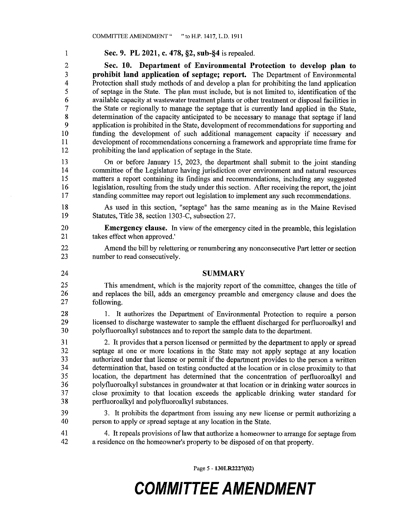Sec. 9. PL 2021, c. 478, §2, sub-§4 is repealed.

Sec. 10. Department of Environmental Protection to develop plan to prohibit land application of septage; report. The Department of Environmental Protection shall study methods of and develop a plan for prohibiting the land application of septage in the State. The plan must include, but is not limited to, identification of the available capacity at wastewater treatment plants or other treatment or disposal facilities in the State or regionally to manage the septage that is currently land applied in the State, determination of the capacity anticipated to be necessary to manage that septage if land application is prohibited in the State, development of recommendations for supporting and funding the development of such additional management capacity if necessary and development of recommendations concerning a framework and appropriate time frame for prohibiting the land application of septage in the State.

On or before January 15, 2023, the department shall submit to the joint standing committee of the Legislature having jurisdiction over environment and natural resources matters a report containing its findings and recommendations, including any suggested legislation, resulting from the study under this section. After receiving the report, the joint standing committee may report out legislation to implement any such recommendations.

As used in this section, "septage" has the same meaning as in the Maine Revised Statutes, Title 38, section 1303-C, subsection 27.

20 **Emergency clause.** In view of the emergency cited in the preamble, this legislation 21 takes effect when approved.'

22 Amend the bill by relettering or renumbering any nonconsecutive Part letter or section 23 number to read consecutively.

24

 $\mathbf{1}$ 

 $\overline{2}$ 

 $\overline{3}$ 

4 5

6  $\overline{7}$ 

8

 $\overline{Q}$ 

 $10$ 

11 12

13

14

15 16

17

18 19

#### **SUMMARY**

25 This amendment, which is the majority report of the committee, changes the title of 26 and replaces the bill, adds an emergency preamble and emergency clause and does the 27 following.

28 1. It authorizes the Department of Environmental Protection to require a person licensed to discharge wastewater to sample the effluent discharged for perfluoroalkyl and 29 polyfluoroalkyl substances and to report the sample data to the department. 30

 $31$ 2. It provides that a person licensed or permitted by the department to apply or spread septage at one or more locations in the State may not apply septage at any location 32 33 authorized under that license or permit if the department provides to the person a written determination that, based on testing conducted at the location or in close proximity to that 34 35 location, the department has determined that the concentration of perfluoroalkyl and polyfluoroalkyl substances in groundwater at that location or in drinking water sources in 36 close proximity to that location exceeds the applicable drinking water standard for 37 perfluoroalkyl and polyfluoroalkyl substances. 38

39 3. It prohibits the department from issuing any new license or permit authorizing a person to apply or spread septage at any location in the State. 40

41 4. It repeals provisions of law that authorize a homeowner to arrange for septage from a residence on the homeowner's property to be disposed of on that property. 42

Page 5 - 130LR2227(02)